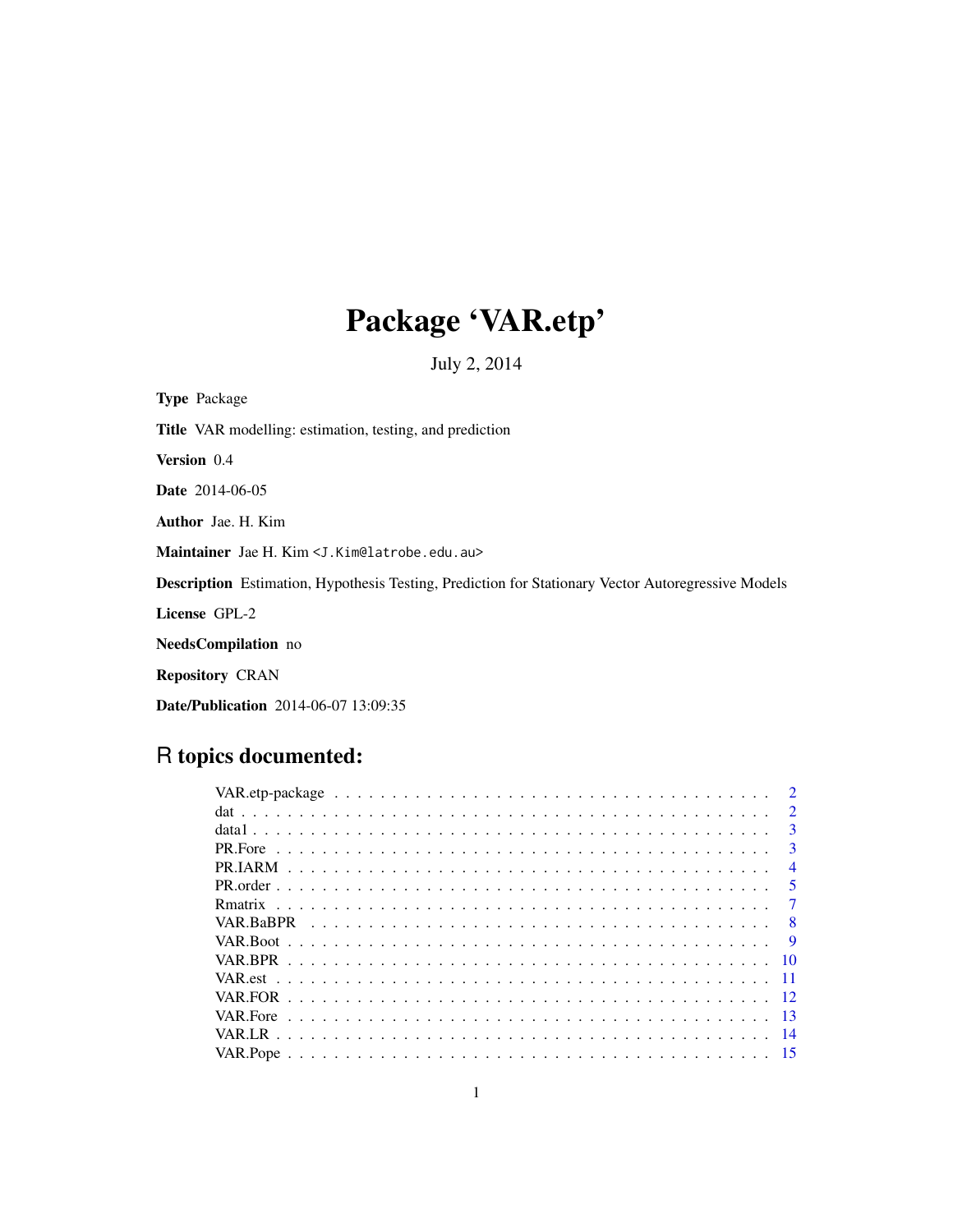# Package 'VAR.etp'

July 2, 2014

Type Package Title VAR modelling: estimation, testing, and prediction Version 0.4 Date 2014-06-05 Author Jae. H. Kim Maintainer Jae H. Kim <J.Kim@latrobe.edu.au> Description Estimation, Hypothesis Testing, Prediction for Stationary Vector Autoregressive Models License GPL-2 NeedsCompilation no Repository CRAN Date/Publication 2014-06-07 13:09:35

# R topics documented:

|     | $\mathcal{D}$  |
|-----|----------------|
|     | $\mathcal{D}$  |
|     | $\mathbf{3}$   |
|     | $\mathbf{3}$   |
|     | $\overline{4}$ |
|     | $\overline{5}$ |
|     |                |
|     | 8              |
|     | - 9            |
|     |                |
|     |                |
|     |                |
| -13 |                |
| -14 |                |
|     |                |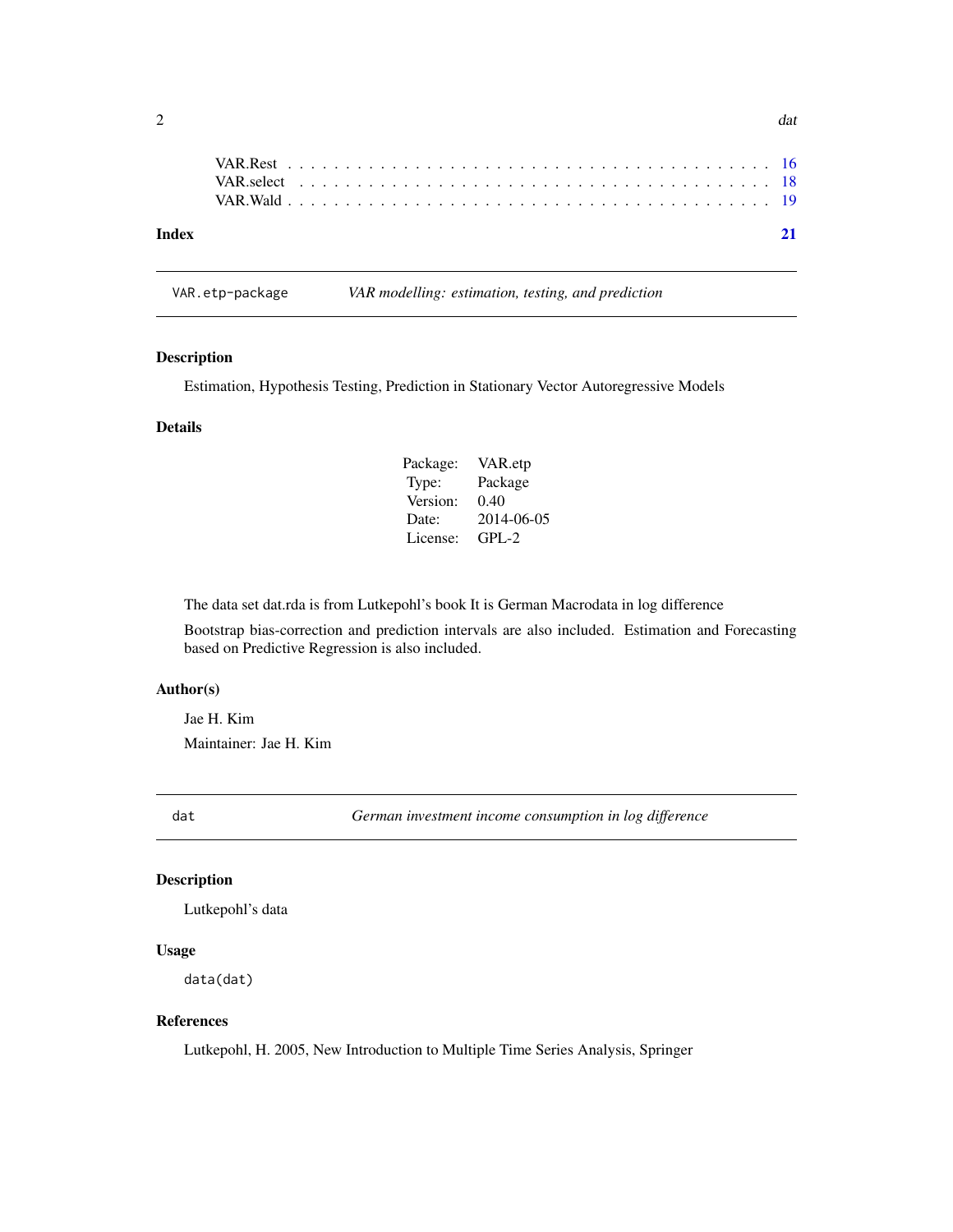| Index |  |  |  |  |  |  |  |  |  |  |  |  |  |  |  |  |  |  |  |  | 21 |
|-------|--|--|--|--|--|--|--|--|--|--|--|--|--|--|--|--|--|--|--|--|----|
|       |  |  |  |  |  |  |  |  |  |  |  |  |  |  |  |  |  |  |  |  |    |

VAR.etp-package *VAR modelling: estimation, testing, and prediction*

# Description

Estimation, Hypothesis Testing, Prediction in Stationary Vector Autoregressive Models

# Details

| Package: | VAR.etp    |
|----------|------------|
| Type:    | Package    |
| Version: | 0.40       |
| Date:    | 2014-06-05 |
| License: | $GPI - 2$  |

The data set dat.rda is from Lutkepohl's book It is German Macrodata in log difference

Bootstrap bias-correction and prediction intervals are also included. Estimation and Forecasting based on Predictive Regression is also included.

#### Author(s)

Jae H. Kim Maintainer: Jae H. Kim

dat *German investment income consumption in log difference*

# Description

Lutkepohl's data

# Usage

data(dat)

#### References

Lutkepohl, H. 2005, New Introduction to Multiple Time Series Analysis, Springer

<span id="page-1-0"></span> $2$  data and  $2\pi$  data and  $2\pi$  data and  $2\pi$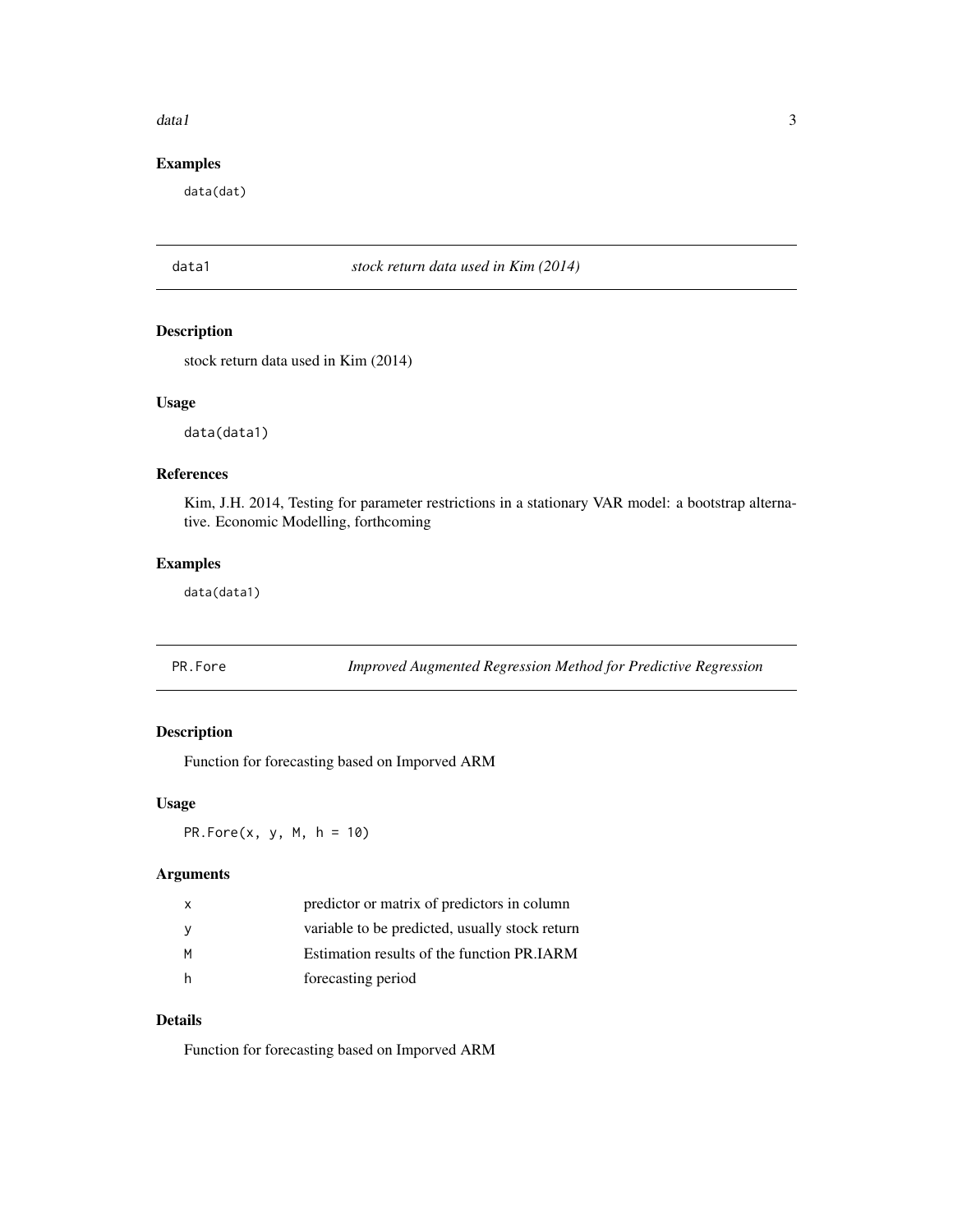#### <span id="page-2-0"></span> $data1$  3

# Examples

data(dat)

data1 *stock return data used in Kim (2014)*

# Description

stock return data used in Kim (2014)

# Usage

data(data1)

# References

Kim, J.H. 2014, Testing for parameter restrictions in a stationary VAR model: a bootstrap alternative. Economic Modelling, forthcoming

# Examples

data(data1)

PR.Fore *Improved Augmented Regression Method for Predictive Regression*

# Description

Function for forecasting based on Imporved ARM

#### Usage

PR.Fore $(x, y, M, h = 10)$ 

#### Arguments

| $\mathsf{x}$ | predictor or matrix of predictors in column    |
|--------------|------------------------------------------------|
| - V          | variable to be predicted, usually stock return |
| M            | Estimation results of the function PR.IARM     |
| <b>h</b>     | forecasting period                             |

# Details

Function for forecasting based on Imporved ARM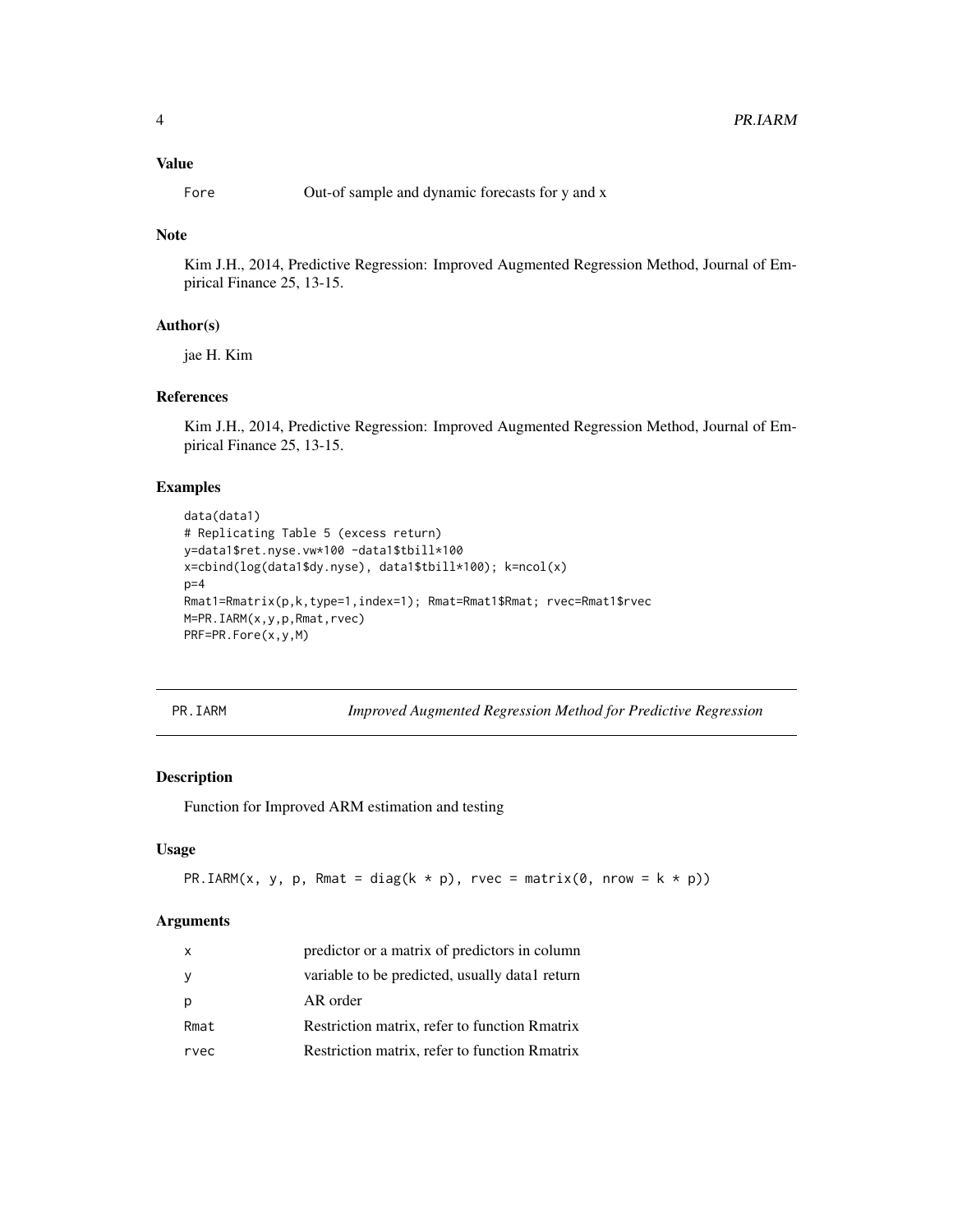#### <span id="page-3-0"></span>Value

Fore Out-of sample and dynamic forecasts for y and x

# Note

Kim J.H., 2014, Predictive Regression: Improved Augmented Regression Method, Journal of Empirical Finance 25, 13-15.

# Author(s)

jae H. Kim

#### References

Kim J.H., 2014, Predictive Regression: Improved Augmented Regression Method, Journal of Empirical Finance 25, 13-15.

# Examples

```
data(data1)
# Replicating Table 5 (excess return)
y=data1$ret.nyse.vw*100 -data1$tbill*100
x=cbind(log(data1$dy.nyse), data1$tbill*100); k=ncol(x)
p=4Rmat1=Rmatrix(p,k,type=1,index=1); Rmat=Rmat1$Rmat; rvec=Rmat1$rvec
M=PR.IARM(x,y,p,Rmat,rvec)
PRF=PR.Fore(x,y,M)
```
PR.IARM *Improved Augmented Regression Method for Predictive Regression*

#### Description

Function for Improved ARM estimation and testing

#### Usage

PR.IARM(x, y, p, Rmat = diag(k \* p), rvec = matrix(0, nrow = k \* p))

#### Arguments

| x    | predictor or a matrix of predictors in column  |
|------|------------------------------------------------|
| У    | variable to be predicted, usually datal return |
| р    | AR order                                       |
| Rmat | Restriction matrix, refer to function Rmatrix  |
| rvec | Restriction matrix, refer to function Rmatrix  |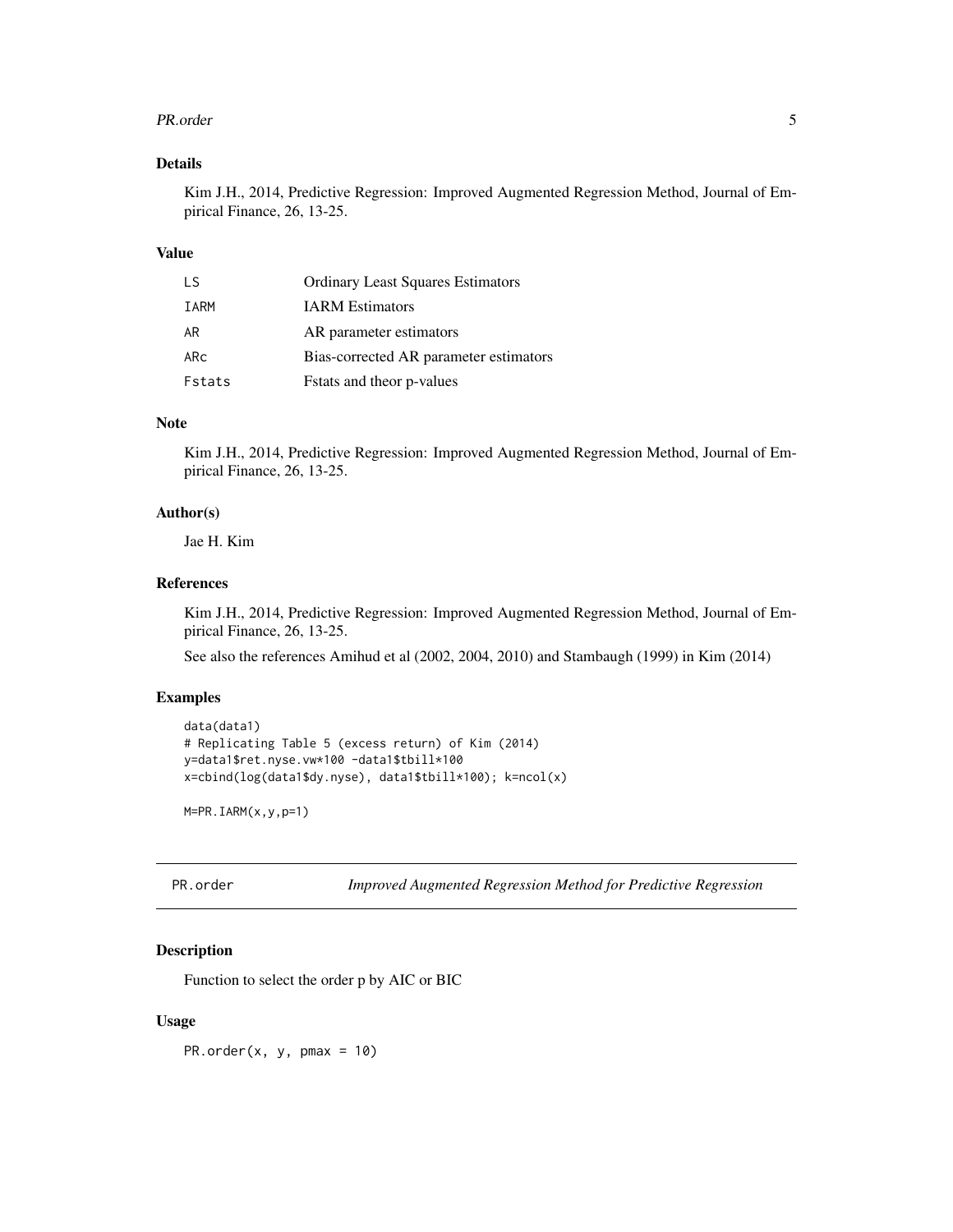#### <span id="page-4-0"></span>PR.order 55 and 55 and 55 and 55 and 55 and 55 and 55 and 55 and 55 and 55 and 55 and 55 and 55 and 55 and 55 and 55 and 55 and 55 and 55 and 55 and 55 and 55 and 55 and 55 and 55 and 55 and 55 and 55 and 55 and 55 and 55

#### Details

Kim J.H., 2014, Predictive Regression: Improved Augmented Regression Method, Journal of Empirical Finance, 26, 13-25.

#### Value

| T.S    | <b>Ordinary Least Squares Estimators</b> |
|--------|------------------------------------------|
| IARM   | <b>IARM</b> Estimators                   |
| AR     | AR parameter estimators                  |
| ARc    | Bias-corrected AR parameter estimators   |
| Fstats | Fstats and theor p-values                |

#### Note

Kim J.H., 2014, Predictive Regression: Improved Augmented Regression Method, Journal of Empirical Finance, 26, 13-25.

#### Author(s)

Jae H. Kim

#### References

Kim J.H., 2014, Predictive Regression: Improved Augmented Regression Method, Journal of Empirical Finance, 26, 13-25.

See also the references Amihud et al (2002, 2004, 2010) and Stambaugh (1999) in Kim (2014)

#### Examples

```
data(data1)
# Replicating Table 5 (excess return) of Kim (2014)
y=data1$ret.nyse.vw*100 -data1$tbill*100
x=cbind(log(data1$dy.nyse), data1$tbill*100); k=ncol(x)
```
M=PR.IARM(x,y,p=1)

PR.order *Improved Augmented Regression Method for Predictive Regression*

# Description

Function to select the order p by AIC or BIC

#### Usage

PR.order(x, y, pmax =  $10$ )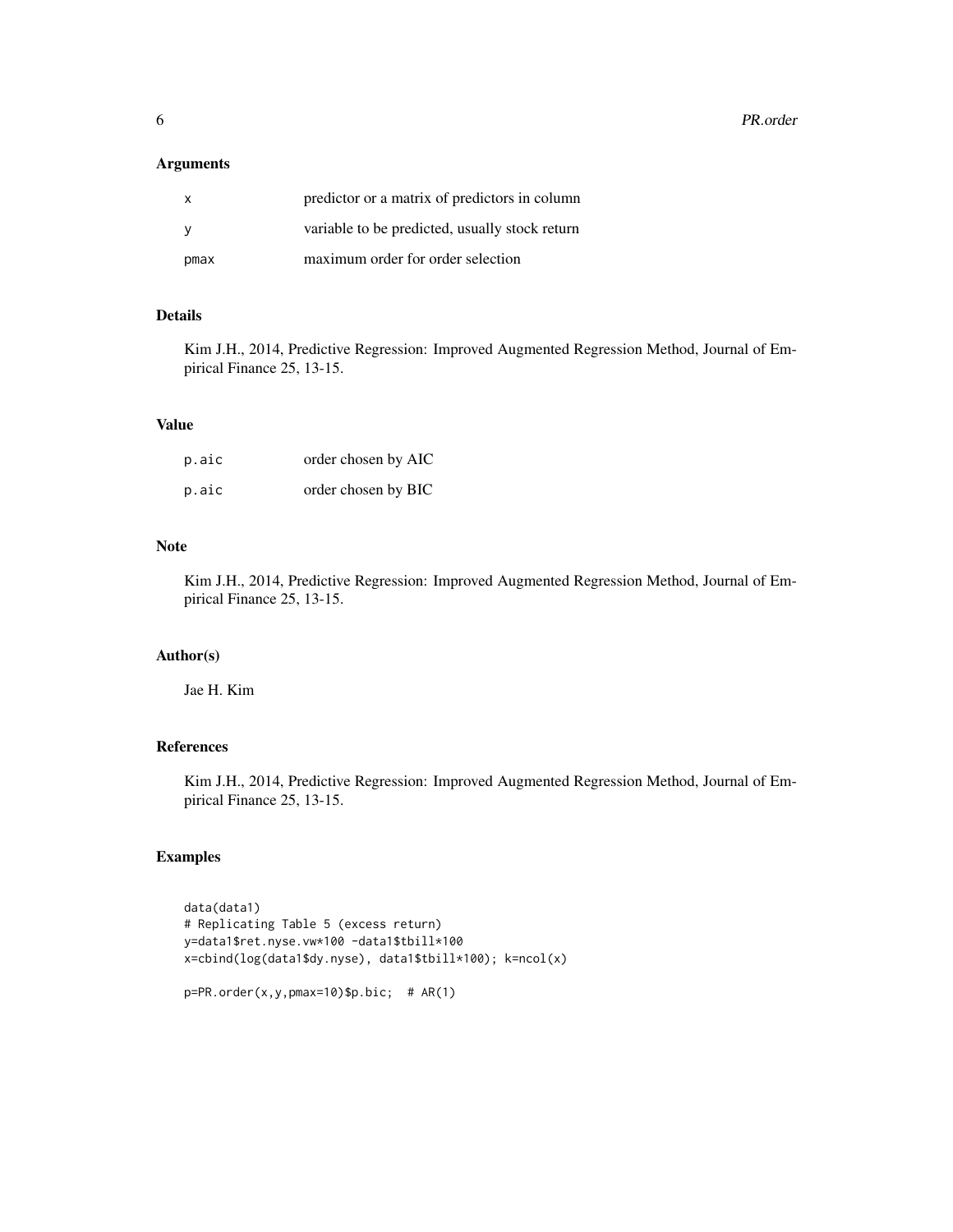**6** PR.order

#### Arguments

| $\mathbf{x}$ | predictor or a matrix of predictors in column  |
|--------------|------------------------------------------------|
|              | variable to be predicted, usually stock return |
| pmax         | maximum order for order selection              |

# Details

Kim J.H., 2014, Predictive Regression: Improved Augmented Regression Method, Journal of Empirical Finance 25, 13-15.

#### Value

| p.aic | order chosen by AIC |
|-------|---------------------|
| p.aic | order chosen by BIC |

#### Note

Kim J.H., 2014, Predictive Regression: Improved Augmented Regression Method, Journal of Empirical Finance 25, 13-15.

#### Author(s)

Jae H. Kim

#### References

Kim J.H., 2014, Predictive Regression: Improved Augmented Regression Method, Journal of Empirical Finance 25, 13-15.

# Examples

```
data(data1)
# Replicating Table 5 (excess return)
y=data1$ret.nyse.vw*100 -data1$tbill*100
x=cbind(log(data1$dy.nyse), data1$tbill*100); k=ncol(x)
```

```
p=PR.order(x,y,pmax=10)$p.bic; # AR(1)
```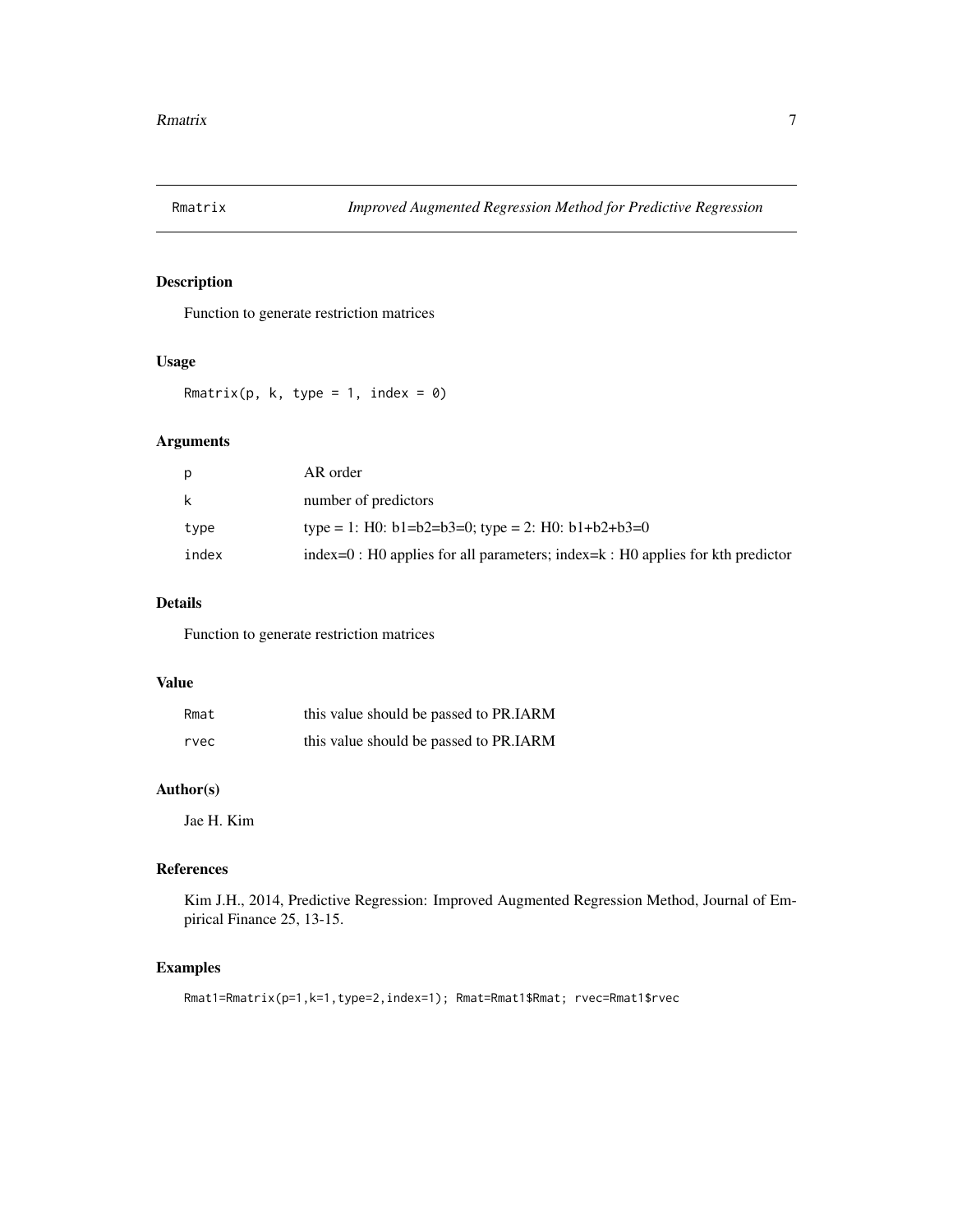<span id="page-6-0"></span>

# Description

Function to generate restriction matrices

#### Usage

Rmatrix(p, k, type = 1, index =  $0$ )

# Arguments

| p     | AR order                                                                             |
|-------|--------------------------------------------------------------------------------------|
| k     | number of predictors                                                                 |
| type  | type = 1: H0: $b1=b2=b3=0$ ; type = 2: H0: $b1+b2+b3=0$                              |
| index | $index=0$ : H0 applies for all parameters; index= $k$ : H0 applies for kth predictor |

# Details

Function to generate restriction matrices

#### Value

| Rmat | this value should be passed to PR.IARM |
|------|----------------------------------------|
| rvec | this value should be passed to PR.IARM |

# Author(s)

Jae H. Kim

# References

Kim J.H., 2014, Predictive Regression: Improved Augmented Regression Method, Journal of Empirical Finance 25, 13-15.

# Examples

Rmat1=Rmatrix(p=1,k=1,type=2,index=1); Rmat=Rmat1\$Rmat; rvec=Rmat1\$rvec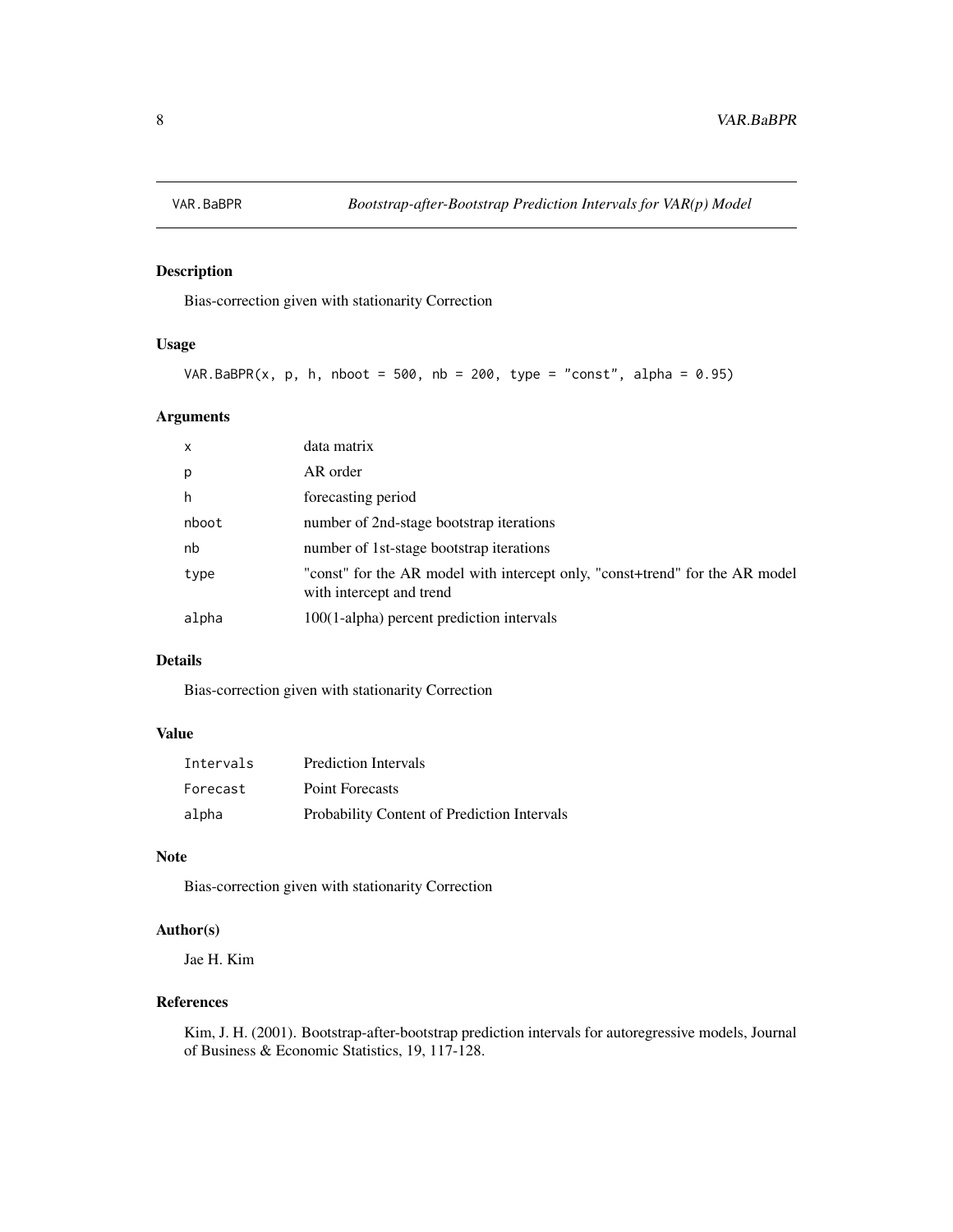<span id="page-7-0"></span>

# Description

Bias-correction given with stationarity Correction

#### Usage

```
VAR.BaBPR(x, p, h, nboot = 500, nb = 200, type = "const", alpha = 0.95)
```
# Arguments

| $\mathsf{x}$ | data matrix                                                                                              |
|--------------|----------------------------------------------------------------------------------------------------------|
| p            | AR order                                                                                                 |
| h            | forecasting period                                                                                       |
| nboot        | number of 2nd-stage bootstrap iterations                                                                 |
| nb           | number of 1st-stage bootstrap iterations                                                                 |
| type         | "const" for the AR model with intercept only, "const+trend" for the AR model<br>with intercept and trend |
| alpha        | 100(1-alpha) percent prediction intervals                                                                |

# Details

Bias-correction given with stationarity Correction

#### Value

| Intervals | <b>Prediction Intervals</b>                 |
|-----------|---------------------------------------------|
| Forecast  | <b>Point Forecasts</b>                      |
| alpha     | Probability Content of Prediction Intervals |

# Note

Bias-correction given with stationarity Correction

# Author(s)

Jae H. Kim

#### References

Kim, J. H. (2001). Bootstrap-after-bootstrap prediction intervals for autoregressive models, Journal of Business & Economic Statistics, 19, 117-128.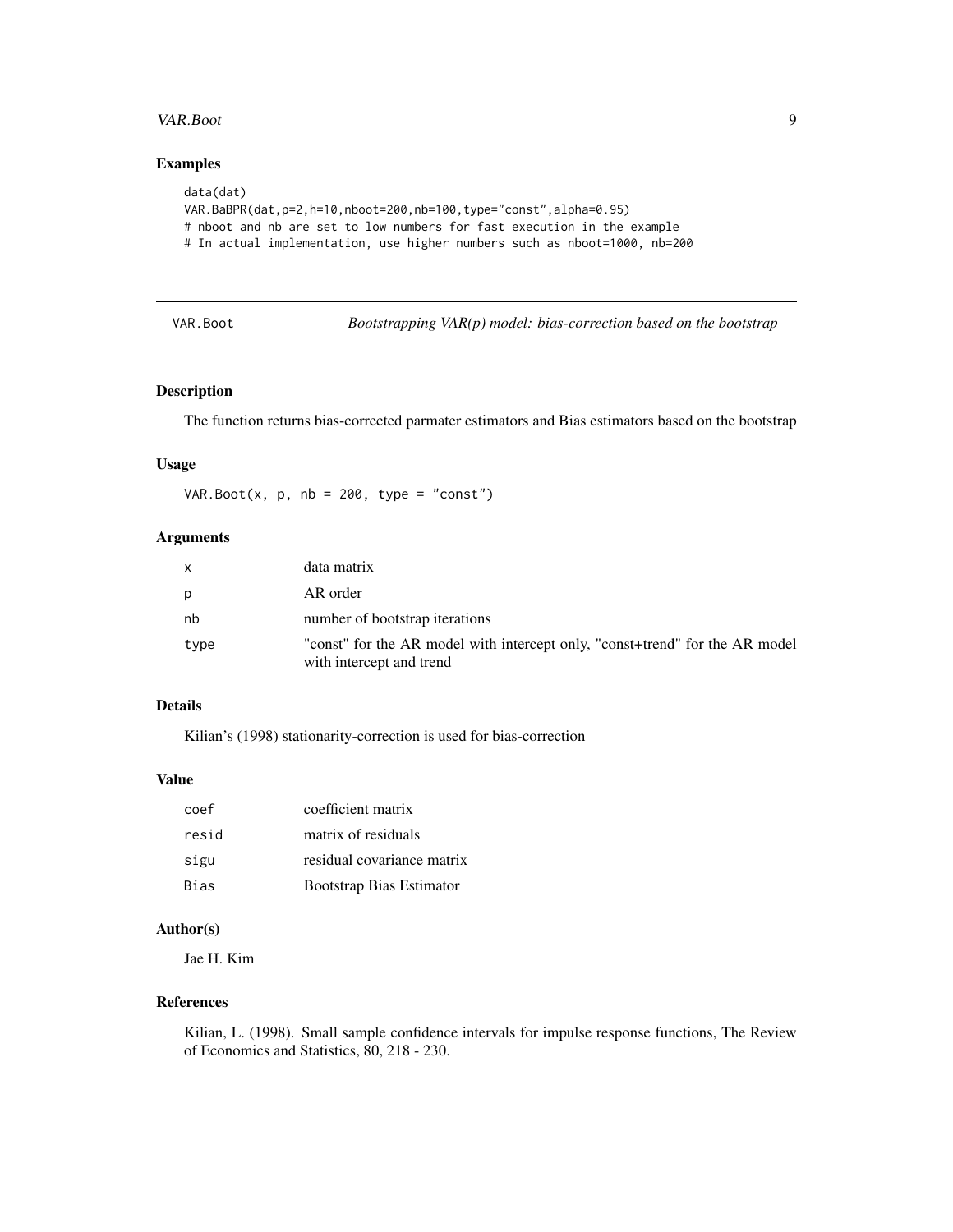#### <span id="page-8-0"></span>VAR.Boot 9

# Examples

```
data(dat)
VAR.BaBPR(dat,p=2,h=10,nboot=200,nb=100,type="const",alpha=0.95)
# nboot and nb are set to low numbers for fast execution in the example
# In actual implementation, use higher numbers such as nboot=1000, nb=200
```
VAR.Boot *Bootstrapping VAR(p) model: bias-correction based on the bootstrap*

#### Description

The function returns bias-corrected parmater estimators and Bias estimators based on the bootstrap

#### Usage

VAR.Boot(x,  $p$ ,  $nb = 200$ , type = "const")

# Arguments

| x    | data matrix                                                                                              |
|------|----------------------------------------------------------------------------------------------------------|
| p    | AR order                                                                                                 |
| nb   | number of bootstrap iterations                                                                           |
| type | "const" for the AR model with intercept only, "const+trend" for the AR model<br>with intercept and trend |

#### Details

Kilian's (1998) stationarity-correction is used for bias-correction

#### Value

| coef        | coefficient matrix         |
|-------------|----------------------------|
| resid       | matrix of residuals        |
| sigu        | residual covariance matrix |
| <b>Bias</b> | Bootstrap Bias Estimator   |

## Author(s)

Jae H. Kim

#### References

Kilian, L. (1998). Small sample confidence intervals for impulse response functions, The Review of Economics and Statistics, 80, 218 - 230.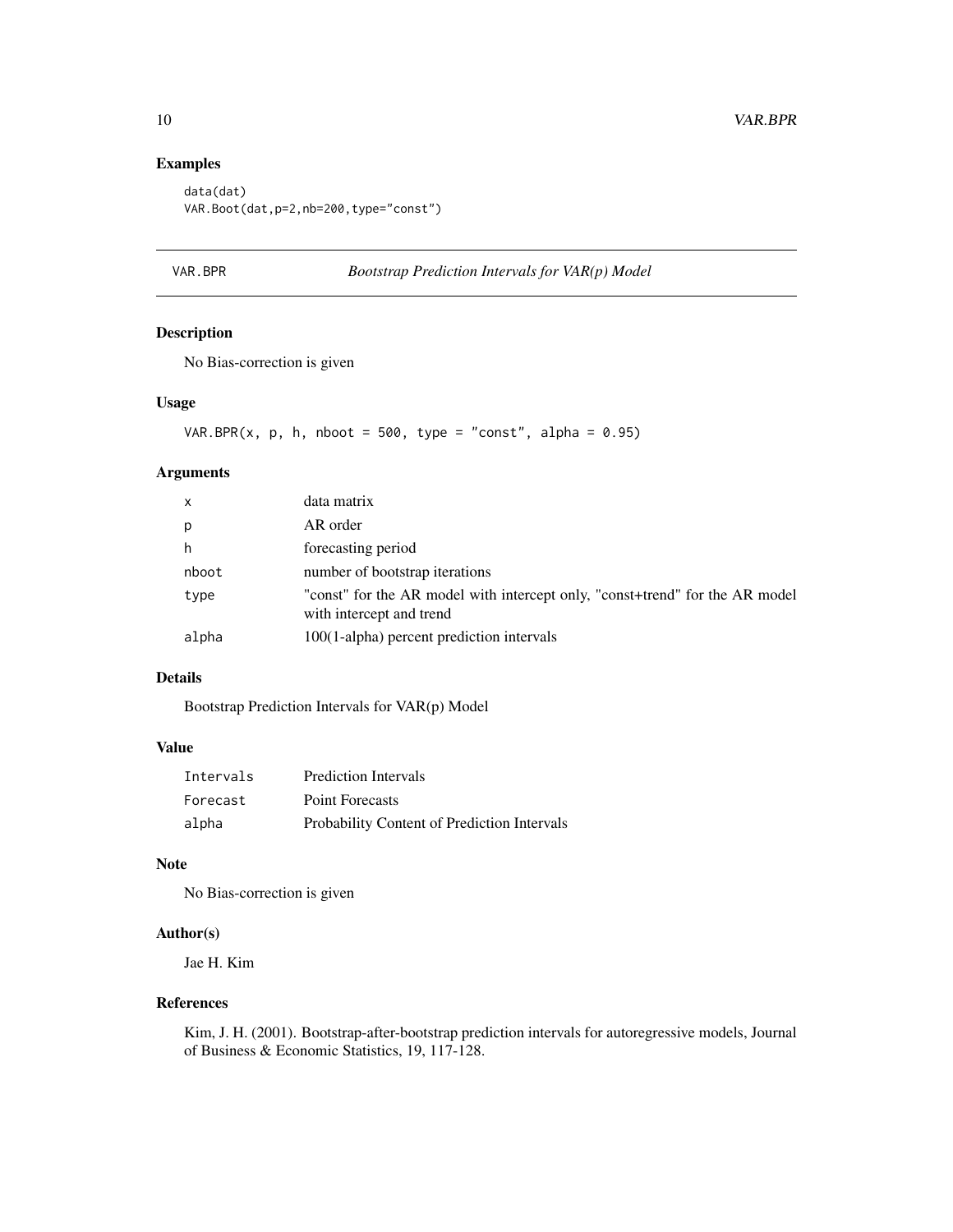# Examples

```
data(dat)
VAR.Boot(dat,p=2,nb=200,type="const")
```
#### VAR.BPR *Bootstrap Prediction Intervals for VAR(p) Model*

# Description

No Bias-correction is given

#### Usage

```
VAR.BPR(x, p, h, nboot = 500, type = "const", alpha = 0.95)
```
# Arguments

| x     | data matrix                                                                                              |
|-------|----------------------------------------------------------------------------------------------------------|
| p     | AR order                                                                                                 |
| h     | forecasting period                                                                                       |
| nboot | number of bootstrap iterations                                                                           |
| type  | "const" for the AR model with intercept only, "const+trend" for the AR model<br>with intercept and trend |
| alpha | 100(1-alpha) percent prediction intervals                                                                |

# Details

Bootstrap Prediction Intervals for VAR(p) Model

#### Value

| Intervals | <b>Prediction Intervals</b>                 |
|-----------|---------------------------------------------|
| Forecast  | Point Forecasts                             |
| alpha     | Probability Content of Prediction Intervals |

# Note

No Bias-correction is given

# Author(s)

Jae H. Kim

#### References

Kim, J. H. (2001). Bootstrap-after-bootstrap prediction intervals for autoregressive models, Journal of Business & Economic Statistics, 19, 117-128.

<span id="page-9-0"></span>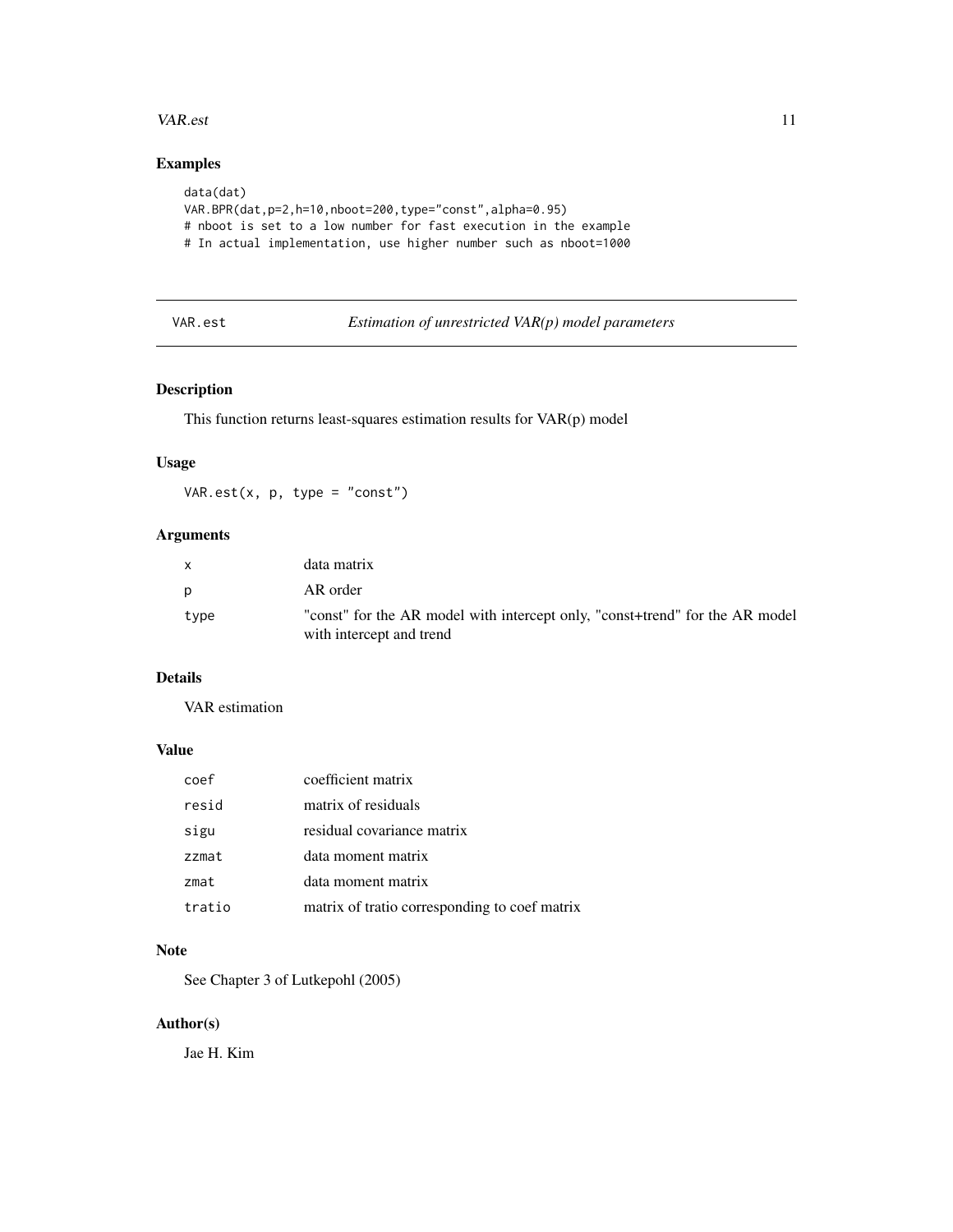#### <span id="page-10-0"></span>VAR.est 11

# Examples

```
data(dat)
VAR.BPR(dat,p=2,h=10,nboot=200,type="const",alpha=0.95)
# nboot is set to a low number for fast execution in the example
# In actual implementation, use higher number such as nboot=1000
```
# VAR.est *Estimation of unrestricted VAR(p) model parameters*

#### Description

This function returns least-squares estimation results for VAR(p) model

#### Usage

VAR.est(x, p, type = "const")

# Arguments

|      | data matrix                                                                                              |
|------|----------------------------------------------------------------------------------------------------------|
| D    | AR order                                                                                                 |
| type | "const" for the AR model with intercept only, "const-trend" for the AR model<br>with intercept and trend |

#### Details

VAR estimation

# Value

| coef   | coefficient matrix                            |
|--------|-----------------------------------------------|
| resid  | matrix of residuals                           |
| sigu   | residual covariance matrix                    |
| zzmat  | data moment matrix                            |
| zmat   | data moment matrix                            |
| tratio | matrix of tratio corresponding to coef matrix |

# Note

See Chapter 3 of Lutkepohl (2005)

#### Author(s)

Jae H. Kim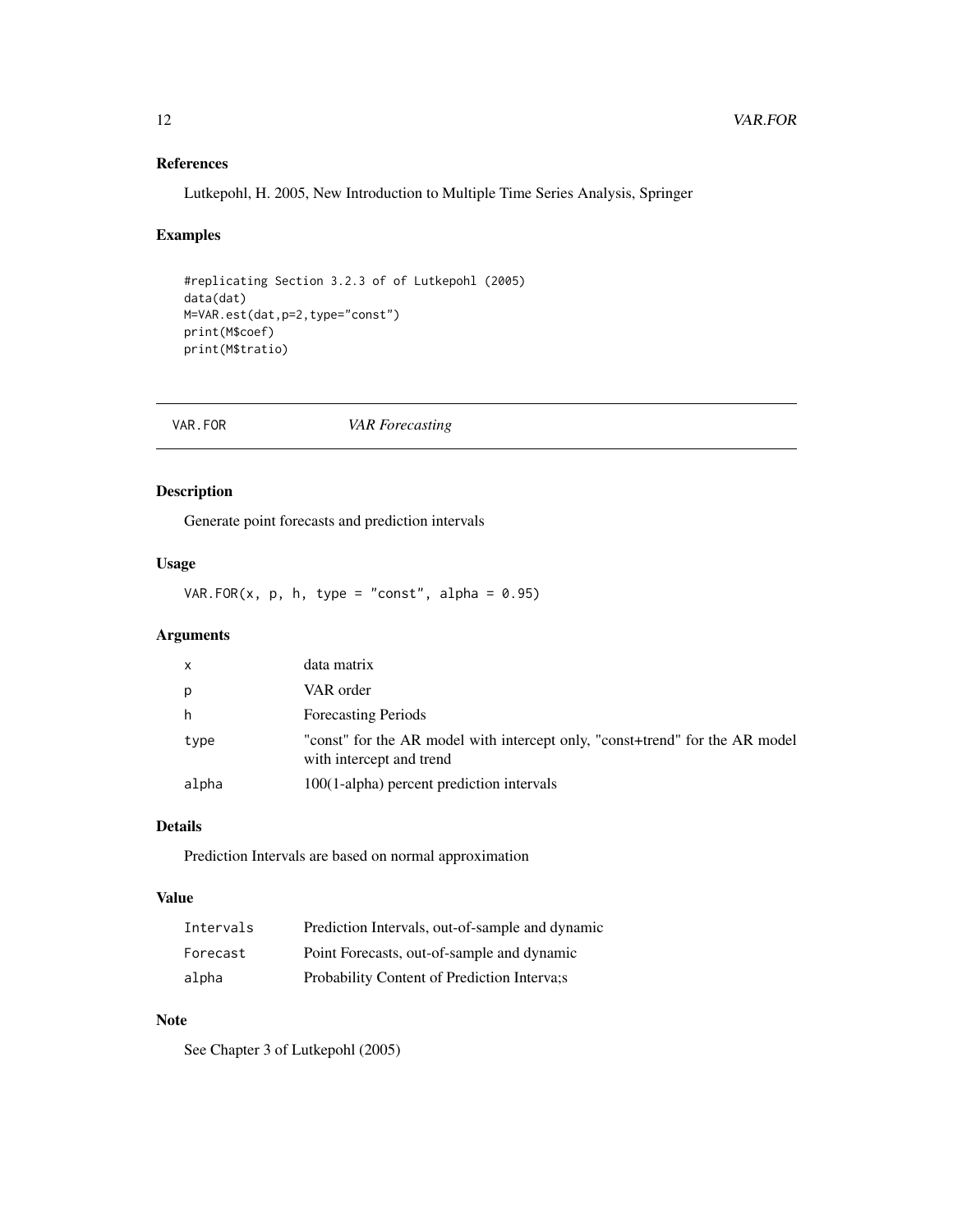# References

Lutkepohl, H. 2005, New Introduction to Multiple Time Series Analysis, Springer

# Examples

```
#replicating Section 3.2.3 of of Lutkepohl (2005)
data(dat)
M=VAR.est(dat,p=2,type="const")
print(M$coef)
print(M$tratio)
```
VAR.FOR *VAR Forecasting*

#### Description

Generate point forecasts and prediction intervals

# Usage

VAR.FOR $(x, p, h, type = "const", alpha = 0.95)$ 

# Arguments

| $\mathsf{x}$ | data matrix                                                                                              |
|--------------|----------------------------------------------------------------------------------------------------------|
| p            | VAR order                                                                                                |
| h            | <b>Forecasting Periods</b>                                                                               |
| type         | "const" for the AR model with intercept only, "const+trend" for the AR model<br>with intercept and trend |
| alpha        | 100(1-alpha) percent prediction intervals                                                                |

# Details

Prediction Intervals are based on normal approximation

# Value

| Intervals | Prediction Intervals, out-of-sample and dynamic |
|-----------|-------------------------------------------------|
| Forecast  | Point Forecasts, out-of-sample and dynamic      |
| alpha     | Probability Content of Prediction Interva;      |

#### Note

See Chapter 3 of Lutkepohl (2005)

<span id="page-11-0"></span>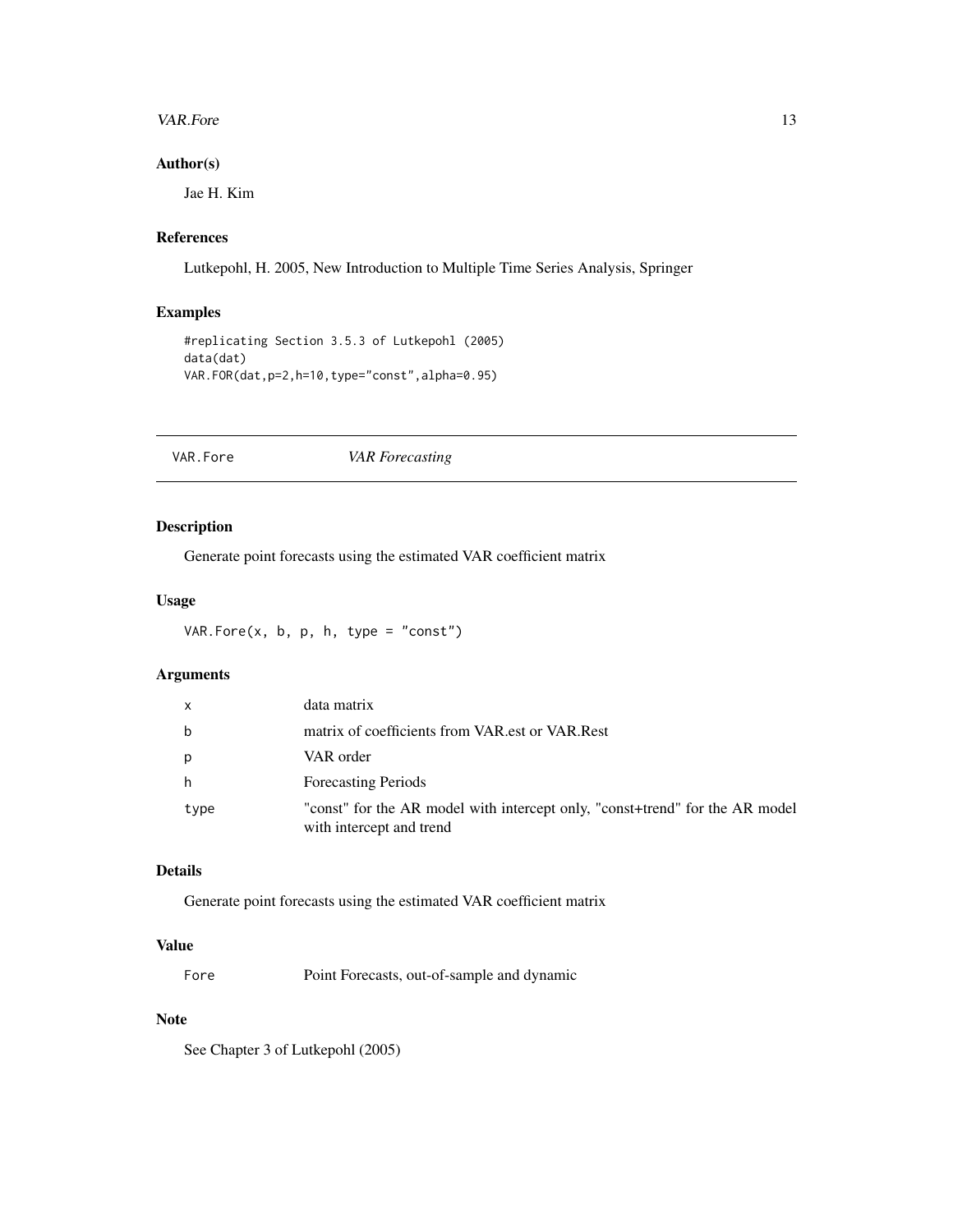#### <span id="page-12-0"></span>VAR.Fore 13

#### Author(s)

Jae H. Kim

#### References

Lutkepohl, H. 2005, New Introduction to Multiple Time Series Analysis, Springer

# Examples

```
#replicating Section 3.5.3 of Lutkepohl (2005)
data(dat)
VAR.FOR(dat,p=2,h=10,type="const",alpha=0.95)
```
# VAR.Fore *VAR Forecasting*

# Description

Generate point forecasts using the estimated VAR coefficient matrix

#### Usage

VAR.Fore $(x, b, p, h, type = "const")$ 

# Arguments

| x    | data matrix                                                                                              |
|------|----------------------------------------------------------------------------------------------------------|
| b    | matrix of coefficients from VAR est or VAR Rest                                                          |
| р    | VAR order                                                                                                |
| h    | <b>Forecasting Periods</b>                                                                               |
| type | "const" for the AR model with intercept only, "const+trend" for the AR model<br>with intercept and trend |

#### Details

Generate point forecasts using the estimated VAR coefficient matrix

#### Value

Fore Point Forecasts, out-of-sample and dynamic

#### Note

See Chapter 3 of Lutkepohl (2005)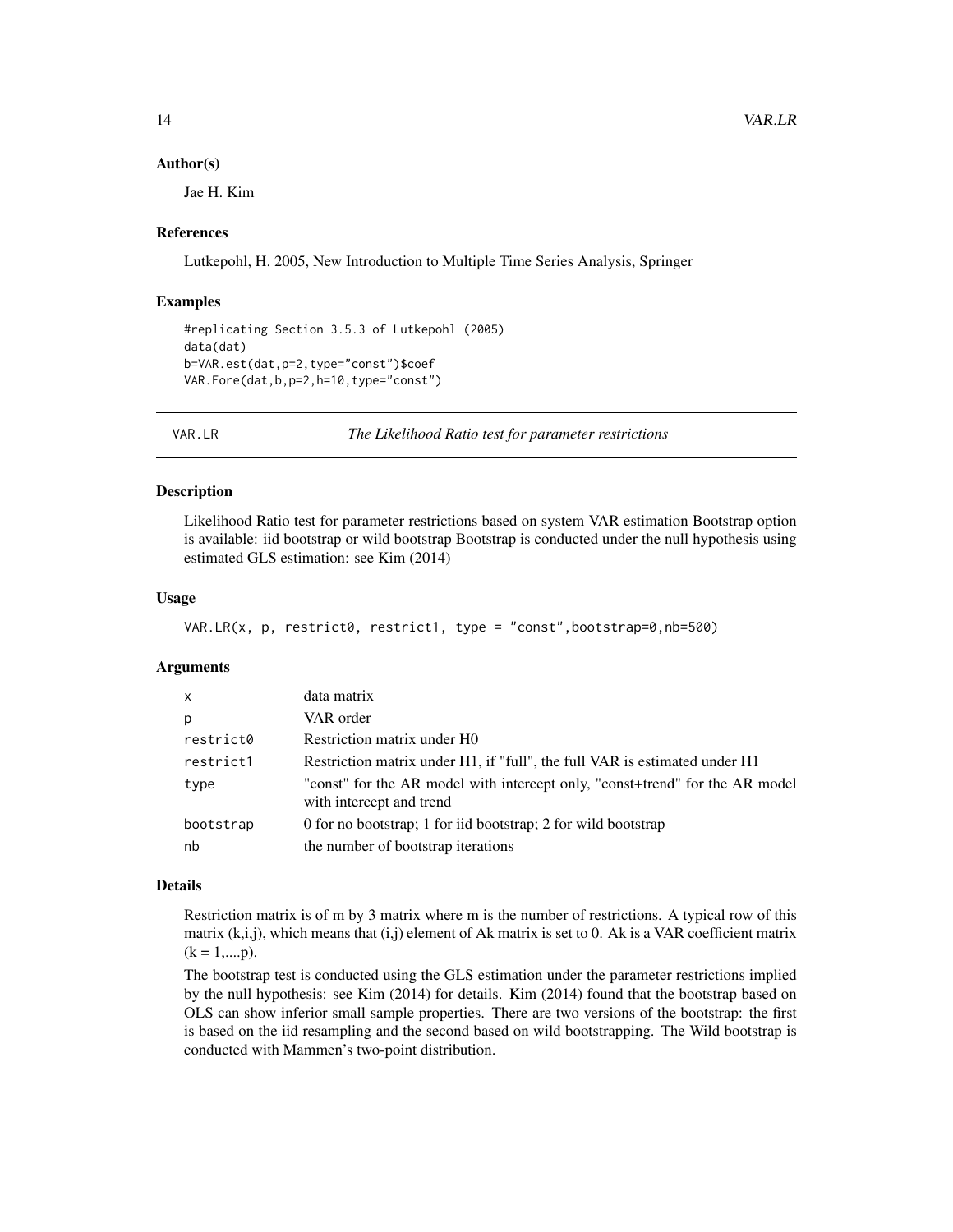#### Author(s)

Jae H. Kim

#### References

Lutkepohl, H. 2005, New Introduction to Multiple Time Series Analysis, Springer

#### Examples

```
#replicating Section 3.5.3 of Lutkepohl (2005)
data(dat)
b=VAR.est(dat,p=2,type="const")$coef
VAR.Fore(dat,b,p=2,h=10,type="const")
```
VAR.LR *The Likelihood Ratio test for parameter restrictions*

#### **Description**

Likelihood Ratio test for parameter restrictions based on system VAR estimation Bootstrap option is available: iid bootstrap or wild bootstrap Bootstrap is conducted under the null hypothesis using estimated GLS estimation: see Kim (2014)

#### Usage

```
VAR.LR(x, p, restrict0, restrict1, type = "const", bootstrap=0, nb=500)
```
# Arguments

| $\mathsf{x}$ | data matrix                                                                                              |
|--------------|----------------------------------------------------------------------------------------------------------|
| p            | VAR order                                                                                                |
| restrict0    | Restriction matrix under H0                                                                              |
| restrict1    | Restriction matrix under H1, if "full", the full VAR is estimated under H1                               |
| type         | "const" for the AR model with intercept only, "const+trend" for the AR model<br>with intercept and trend |
| bootstrap    | 0 for no bootstrap; 1 for iid bootstrap; 2 for wild bootstrap                                            |
| nb           | the number of bootstrap iterations                                                                       |

#### Details

Restriction matrix is of m by 3 matrix where m is the number of restrictions. A typical row of this matrix (k,i,j), which means that (i,j) element of Ak matrix is set to 0. Ak is a VAR coefficient matrix  $(k = 1,...,p)$ .

The bootstrap test is conducted using the GLS estimation under the parameter restrictions implied by the null hypothesis: see Kim (2014) for details. Kim (2014) found that the bootstrap based on OLS can show inferior small sample properties. There are two versions of the bootstrap: the first is based on the iid resampling and the second based on wild bootstrapping. The Wild bootstrap is conducted with Mammen's two-point distribution.

<span id="page-13-0"></span>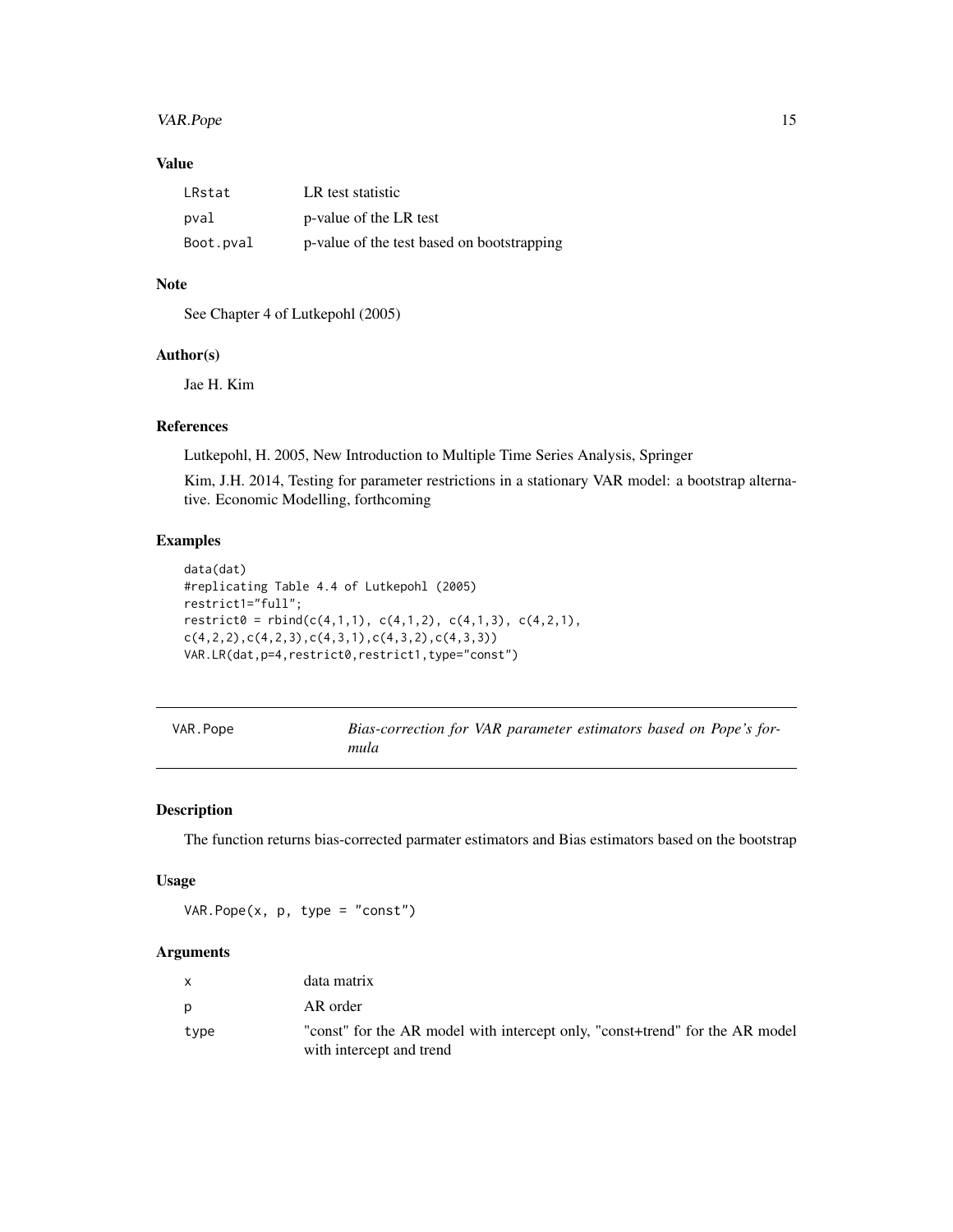# <span id="page-14-0"></span>VAR.Pope 15

# Value

| LRstat    | LR test statistic                          |
|-----------|--------------------------------------------|
| pval      | p-value of the LR test                     |
| Boot.pval | p-value of the test based on bootstrapping |

## Note

See Chapter 4 of Lutkepohl (2005)

# Author(s)

Jae H. Kim

#### References

Lutkepohl, H. 2005, New Introduction to Multiple Time Series Analysis, Springer

Kim, J.H. 2014, Testing for parameter restrictions in a stationary VAR model: a bootstrap alternative. Economic Modelling, forthcoming

# Examples

```
data(dat)
#replicating Table 4.4 of Lutkepohl (2005)
restrict1="full";
\text{restrict0} = \text{rbind}(c(4,1,1), c(4,1,2), c(4,1,3), c(4,2,1),c(4,2,2),c(4,2,3),c(4,3,1),c(4,3,2),c(4,3,3))VAR.LR(dat,p=4,restrict0,restrict1,type="const")
```

| VAR. Pope | Bias-correction for VAR parameter estimators based on Pope's for- |
|-----------|-------------------------------------------------------------------|
|           | mula                                                              |

#### Description

The function returns bias-corrected parmater estimators and Bias estimators based on the bootstrap

#### Usage

VAR. Pope $(x, p, type = "const")$ 

#### Arguments

|      | data matrix                                                                                              |
|------|----------------------------------------------------------------------------------------------------------|
| D    | AR order                                                                                                 |
| type | "const" for the AR model with intercept only, "const+trend" for the AR model<br>with intercept and trend |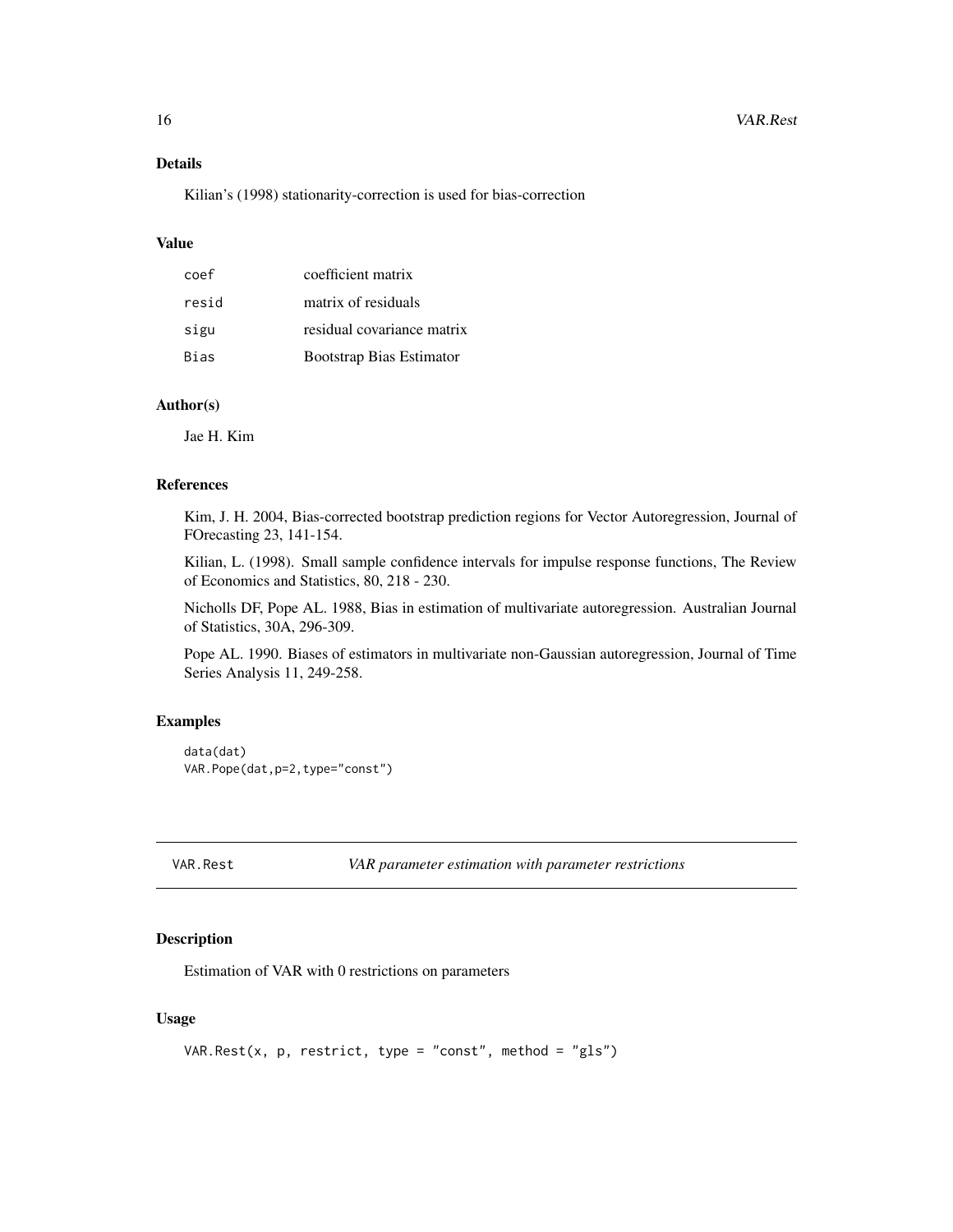#### <span id="page-15-0"></span>Details

Kilian's (1998) stationarity-correction is used for bias-correction

#### Value

| coef  | coefficient matrix              |
|-------|---------------------------------|
| resid | matrix of residuals             |
| sigu  | residual covariance matrix      |
| Bias  | <b>Bootstrap Bias Estimator</b> |

# Author(s)

Jae H. Kim

#### References

Kim, J. H. 2004, Bias-corrected bootstrap prediction regions for Vector Autoregression, Journal of FOrecasting 23, 141-154.

Kilian, L. (1998). Small sample confidence intervals for impulse response functions, The Review of Economics and Statistics, 80, 218 - 230.

Nicholls DF, Pope AL. 1988, Bias in estimation of multivariate autoregression. Australian Journal of Statistics, 30A, 296-309.

Pope AL. 1990. Biases of estimators in multivariate non-Gaussian autoregression, Journal of Time Series Analysis 11, 249-258.

#### Examples

```
data(dat)
VAR.Pope(dat,p=2,type="const")
```
VAR.Rest *VAR parameter estimation with parameter restrictions*

#### Description

Estimation of VAR with 0 restrictions on parameters

# Usage

```
VAR.Rest(x, p, restrict, type = "const", method = "gls")
```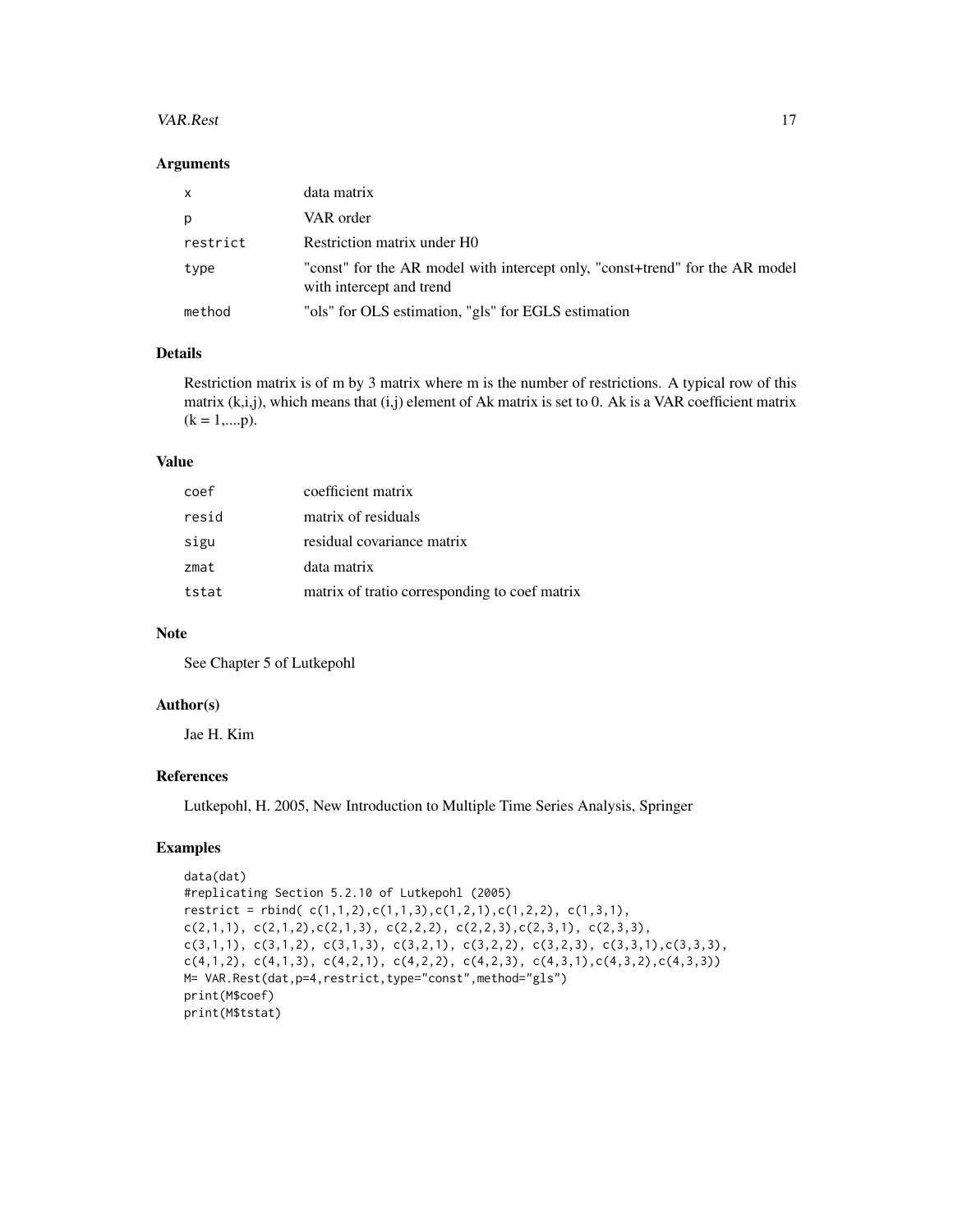#### VAR.Rest 17

#### Arguments

| $\mathsf{x}$ | data matrix                                                                                              |
|--------------|----------------------------------------------------------------------------------------------------------|
| p            | VAR order                                                                                                |
| restrict     | Restriction matrix under H0                                                                              |
| type         | "const" for the AR model with intercept only, "const+trend" for the AR model<br>with intercept and trend |
| method       | "ols" for OLS estimation, "gls" for EGLS estimation                                                      |

# Details

Restriction matrix is of m by 3 matrix where m is the number of restrictions. A typical row of this matrix (k,i,j), which means that (i,j) element of Ak matrix is set to 0. Ak is a VAR coefficient matrix  $(k = 1, \dots, p).$ 

# Value

| coef  | coefficient matrix                            |
|-------|-----------------------------------------------|
| resid | matrix of residuals                           |
| sigu  | residual covariance matrix                    |
| zmat  | data matrix                                   |
| tstat | matrix of tratio corresponding to coef matrix |
|       |                                               |

# Note

See Chapter 5 of Lutkepohl

#### Author(s)

Jae H. Kim

# References

Lutkepohl, H. 2005, New Introduction to Multiple Time Series Analysis, Springer

#### Examples

```
data(dat)
#replicating Section 5.2.10 of Lutkepohl (2005)
restrict = rbind(c(1,1,2),c(1,1,3),c(1,2,1),c(1,2,2), c(1,3,1),c(2,1,1), c(2,1,2), c(2,1,3), c(2,2,2), c(2,2,3), c(2,3,1), c(2,3,3),c(3,1,1), c(3,1,2), c(3,1,3), c(3,2,1), c(3,2,2), c(3,2,3), c(3,3,1), c(3,3,3),c(4,1,2), c(4,1,3), c(4,2,1), c(4,2,2), c(4,2,3), c(4,3,1), c(4,3,2), c(4,3,3))M= VAR.Rest(dat, p=4, restrict, type="const", method="gls")
print(M$coef)
print(M$tstat)
```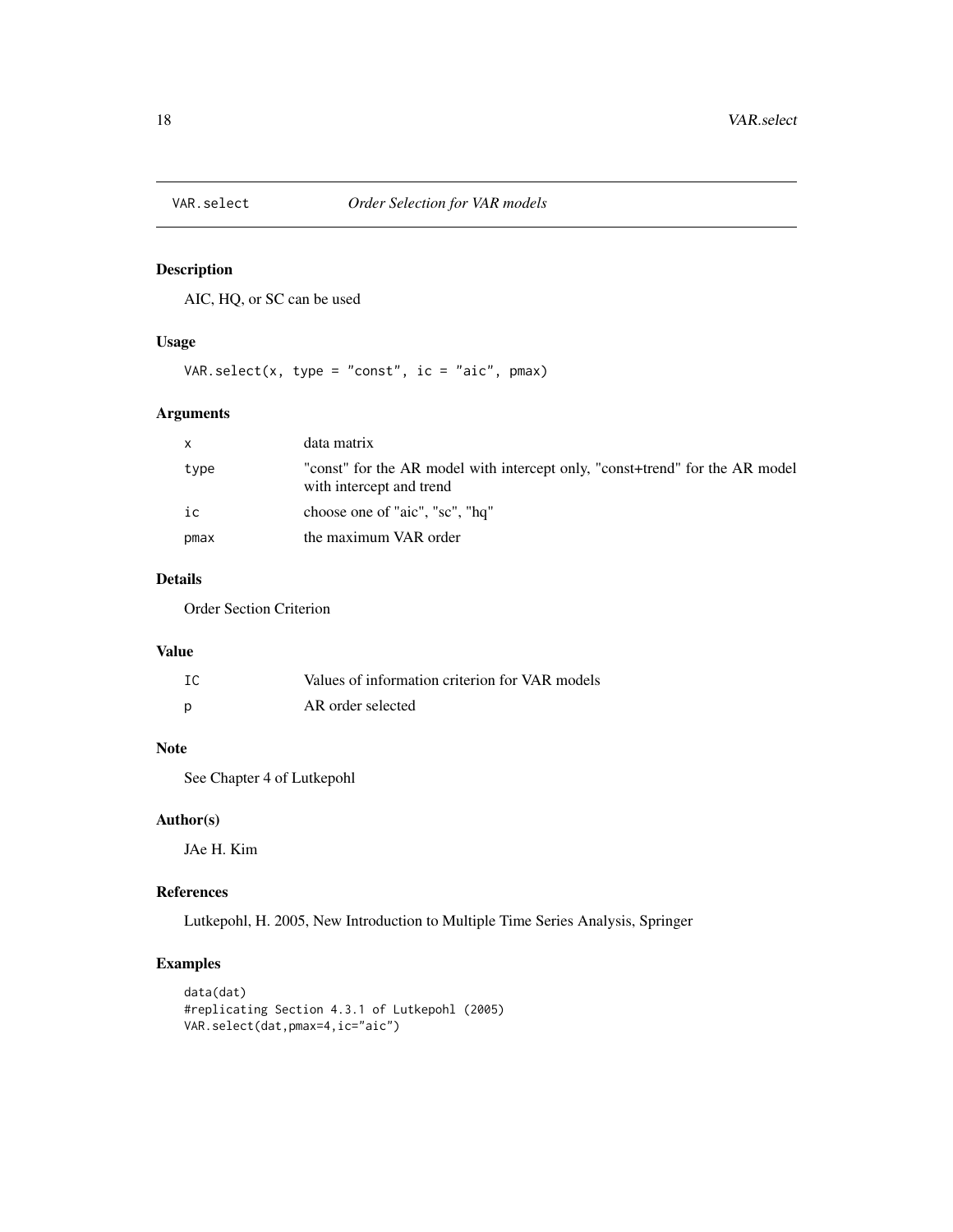<span id="page-17-0"></span>

# Description

AIC, HQ, or SC can be used

# Usage

VAR.select(x, type = "const", ic = "aic", pmax)

# Arguments

| X    | data matrix                                                                                              |
|------|----------------------------------------------------------------------------------------------------------|
| type | "const" for the AR model with intercept only, "const+trend" for the AR model<br>with intercept and trend |
| ic   | choose one of "aic", "sc", "hq"                                                                          |
| pmax | the maximum VAR order                                                                                    |

#### Details

Order Section Criterion

# Value

| IC | Values of information criterion for VAR models |
|----|------------------------------------------------|
|    | AR order selected                              |

# Note

See Chapter 4 of Lutkepohl

# Author(s)

JAe H. Kim

#### References

Lutkepohl, H. 2005, New Introduction to Multiple Time Series Analysis, Springer

# Examples

```
data(dat)
#replicating Section 4.3.1 of Lutkepohl (2005)
VAR.select(dat,pmax=4,ic="aic")
```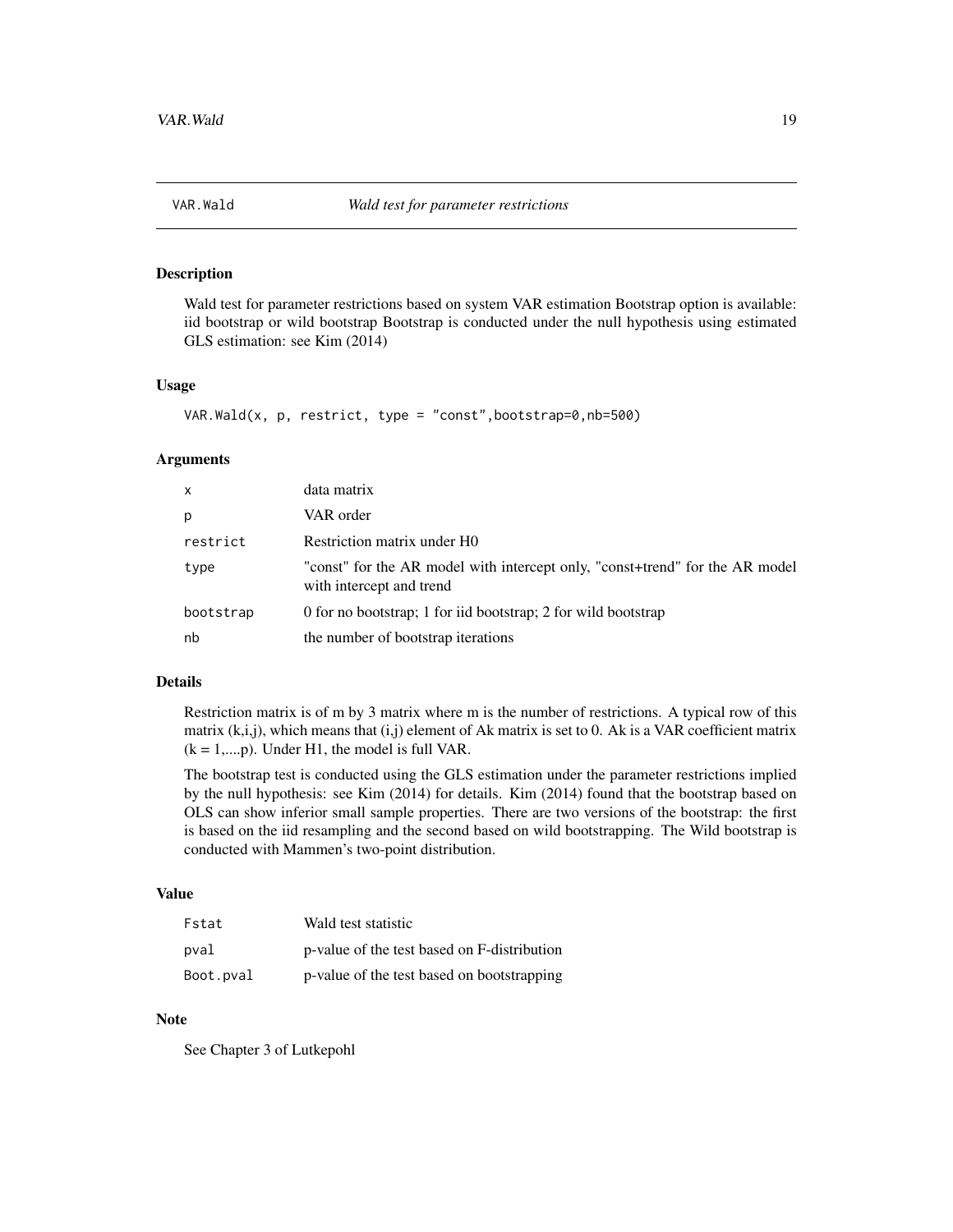<span id="page-18-0"></span>

# Description

Wald test for parameter restrictions based on system VAR estimation Bootstrap option is available: iid bootstrap or wild bootstrap Bootstrap is conducted under the null hypothesis using estimated GLS estimation: see Kim (2014)

#### Usage

```
VAR.Mald(x, p, restrict, type = "const", bootstrap=0,nb=500)
```
#### **Arguments**

| x         | data matrix                                                                                              |
|-----------|----------------------------------------------------------------------------------------------------------|
| p         | VAR order                                                                                                |
| restrict  | Restriction matrix under H0                                                                              |
| type      | "const" for the AR model with intercept only, "const+trend" for the AR model<br>with intercept and trend |
| bootstrap | 0 for no bootstrap; 1 for iid bootstrap; 2 for wild bootstrap                                            |
| nb        | the number of bootstrap iterations                                                                       |

#### Details

Restriction matrix is of m by 3 matrix where m is the number of restrictions. A typical row of this matrix  $(k,i,j)$ , which means that  $(i,j)$  element of Ak matrix is set to 0. Ak is a VAR coefficient matrix  $(k = 1,...,p)$ . Under H1, the model is full VAR.

The bootstrap test is conducted using the GLS estimation under the parameter restrictions implied by the null hypothesis: see Kim (2014) for details. Kim (2014) found that the bootstrap based on OLS can show inferior small sample properties. There are two versions of the bootstrap: the first is based on the iid resampling and the second based on wild bootstrapping. The Wild bootstrap is conducted with Mammen's two-point distribution.

#### Value

| Fstat     | Wald test statistic                         |
|-----------|---------------------------------------------|
| pval      | p-value of the test based on F-distribution |
| Boot.pval | p-value of the test based on bootstrapping  |

# Note

See Chapter 3 of Lutkepohl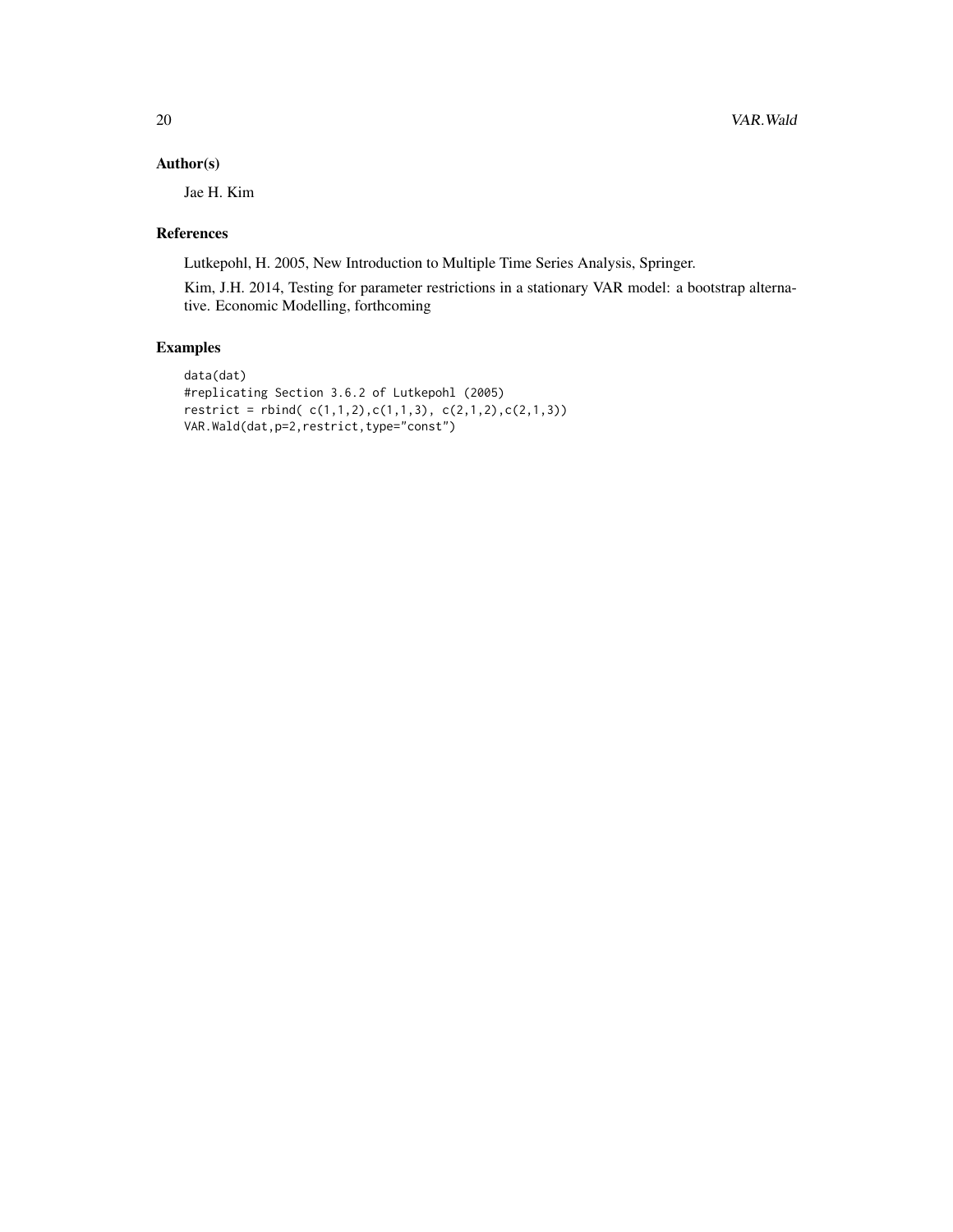# Author(s)

Jae H. Kim

#### References

Lutkepohl, H. 2005, New Introduction to Multiple Time Series Analysis, Springer.

Kim, J.H. 2014, Testing for parameter restrictions in a stationary VAR model: a bootstrap alternative. Economic Modelling, forthcoming

# Examples

```
data(dat)
#replicating Section 3.6.2 of Lutkepohl (2005)
\text{restrict} = \text{rbind}( (c(1,1,2),c(1,1,3), (c(2,1,2),c(2,1,3)))VAR.Wald(dat,p=2,restrict,type="const")
```